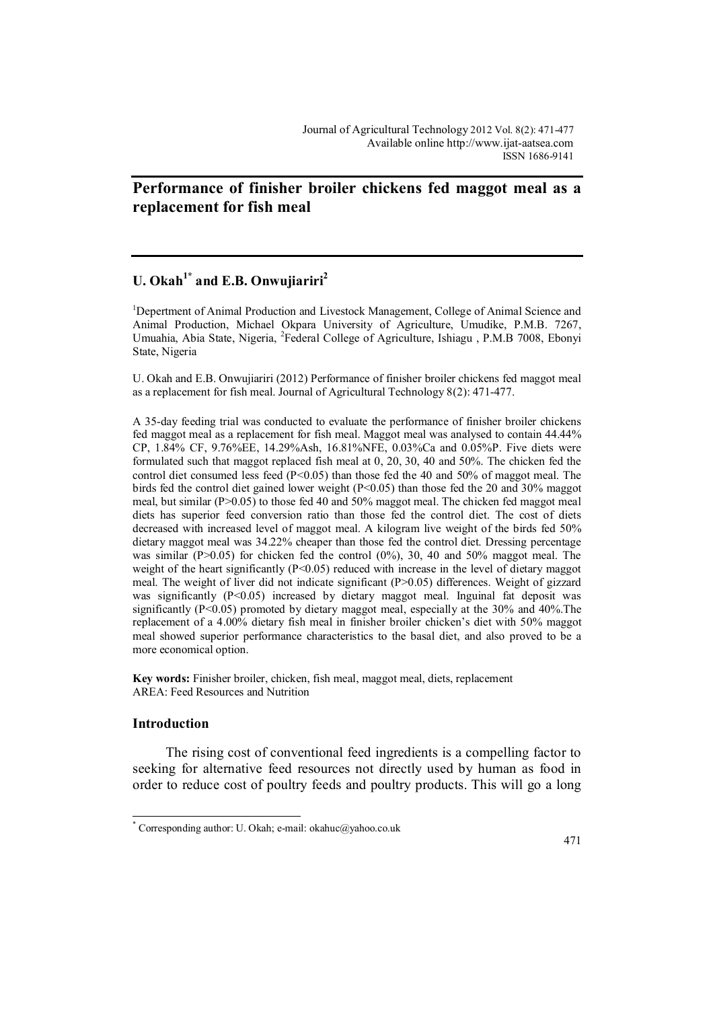## **Performance of finisher broiler chickens fed maggot meal as a replacement for fish meal**

# **U. Okah1\* and E.B. Onwujiariri<sup>2</sup>**

<sup>1</sup>Depertment of Animal Production and Livestock Management, College of Animal Science and Animal Production, Michael Okpara University of Agriculture, Umudike, P.M.B. 7267, Umuahia, Abia State, Nigeria, <sup>2</sup>Federal College of Agriculture, Ishiagu, P.M.B 7008, Ebonyi State, Nigeria

U. Okah and E.B. Onwujiariri (2012) Performance of finisher broiler chickens fed maggot meal as a replacement for fish meal. Journal of Agricultural Technology 8(2): 471-477.

A 35-day feeding trial was conducted to evaluate the performance of finisher broiler chickens fed maggot meal as a replacement for fish meal. Maggot meal was analysed to contain 44.44% CP, 1.84% CF, 9.76%EE, 14.29%Ash, 16.81%NFE, 0.03%Ca and 0.05%P. Five diets were formulated such that maggot replaced fish meal at 0, 20, 30, 40 and 50%. The chicken fed the control diet consumed less feed ( $P \le 0.05$ ) than those fed the 40 and 50% of maggot meal. The birds fed the control diet gained lower weight  $(P< 0.05)$  than those fed the 20 and 30% maggot meal, but similar (P $>0.05$ ) to those fed 40 and 50% maggot meal. The chicken fed maggot meal diets has superior feed conversion ratio than those fed the control diet. The cost of diets decreased with increased level of maggot meal. A kilogram live weight of the birds fed 50% dietary maggot meal was 34.22% cheaper than those fed the control diet. Dressing percentage was similar (P $>0.05$ ) for chicken fed the control (0%), 30, 40 and 50% maggot meal. The weight of the heart significantly  $(P<0.05)$  reduced with increase in the level of dietary maggot meal. The weight of liver did not indicate significant (P>0.05) differences. Weight of gizzard was significantly (P<0.05) increased by dietary maggot meal. Inguinal fat deposit was significantly (P<0.05) promoted by dietary maggot meal, especially at the 30% and 40%.The replacement of a 4.00% dietary fish meal in finisher broiler chicken's diet with 50% maggot meal showed superior performance characteristics to the basal diet, and also proved to be a more economical option.

**Key words:** Finisher broiler, chicken, fish meal, maggot meal, diets, replacement AREA: Feed Resources and Nutrition

## **Introduction**

 $\overline{a}$ 

The rising cost of conventional feed ingredients is a compelling factor to seeking for alternative feed resources not directly used by human as food in order to reduce cost of poultry feeds and poultry products. This will go a long

<sup>\*</sup> Corresponding author: U. Okah; e-mail: okahuc@yahoo.co.uk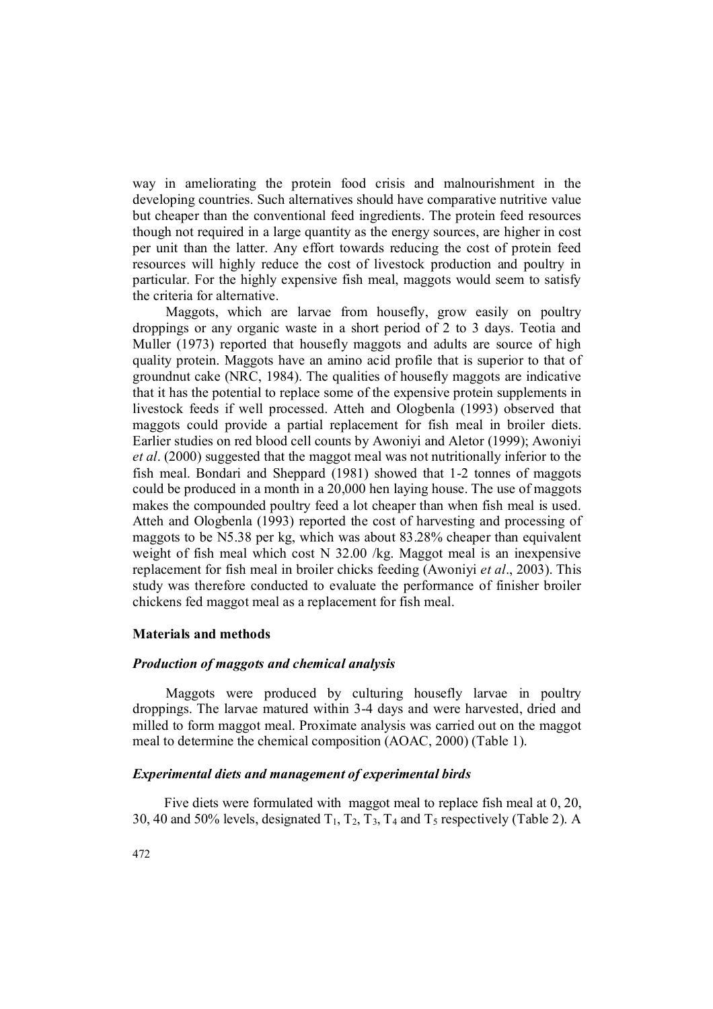way in ameliorating the protein food crisis and malnourishment in the developing countries. Such alternatives should have comparative nutritive value but cheaper than the conventional feed ingredients. The protein feed resources though not required in a large quantity as the energy sources, are higher in cost per unit than the latter. Any effort towards reducing the cost of protein feed resources will highly reduce the cost of livestock production and poultry in particular. For the highly expensive fish meal, maggots would seem to satisfy the criteria for alternative.

Maggots, which are larvae from housefly, grow easily on poultry droppings or any organic waste in a short period of 2 to 3 days. Teotia and Muller (1973) reported that housefly maggots and adults are source of high quality protein. Maggots have an amino acid profile that is superior to that of groundnut cake (NRC, 1984). The qualities of housefly maggots are indicative that it has the potential to replace some of the expensive protein supplements in livestock feeds if well processed. Atteh and Ologbenla (1993) observed that maggots could provide a partial replacement for fish meal in broiler diets. Earlier studies on red blood cell counts by Awoniyi and Aletor (1999); Awoniyi *et al*. (2000) suggested that the maggot meal was not nutritionally inferior to the fish meal. Bondari and Sheppard (1981) showed that 1-2 tonnes of maggots could be produced in a month in a 20,000 hen laying house. The use of maggots makes the compounded poultry feed a lot cheaper than when fish meal is used. Atteh and Ologbenla (1993) reported the cost of harvesting and processing of maggots to be N5.38 per kg, which was about 83.28% cheaper than equivalent weight of fish meal which cost N 32.00 /kg. Maggot meal is an inexpensive replacement for fish meal in broiler chicks feeding (Awoniyi *et al*., 2003). This study was therefore conducted to evaluate the performance of finisher broiler chickens fed maggot meal as a replacement for fish meal.

## **Materials and methods**

## *Production of maggots and chemical analysis*

Maggots were produced by culturing housefly larvae in poultry droppings. The larvae matured within 3-4 days and were harvested, dried and milled to form maggot meal. Proximate analysis was carried out on the maggot meal to determine the chemical composition (AOAC, 2000) (Table 1).

## *Experimental diets and management of experimental birds*

Five diets were formulated with maggot meal to replace fish meal at 0, 20, 30, 40 and 50% levels, designated  $T_1$ ,  $T_2$ ,  $T_3$ ,  $T_4$  and  $T_5$  respectively (Table 2). A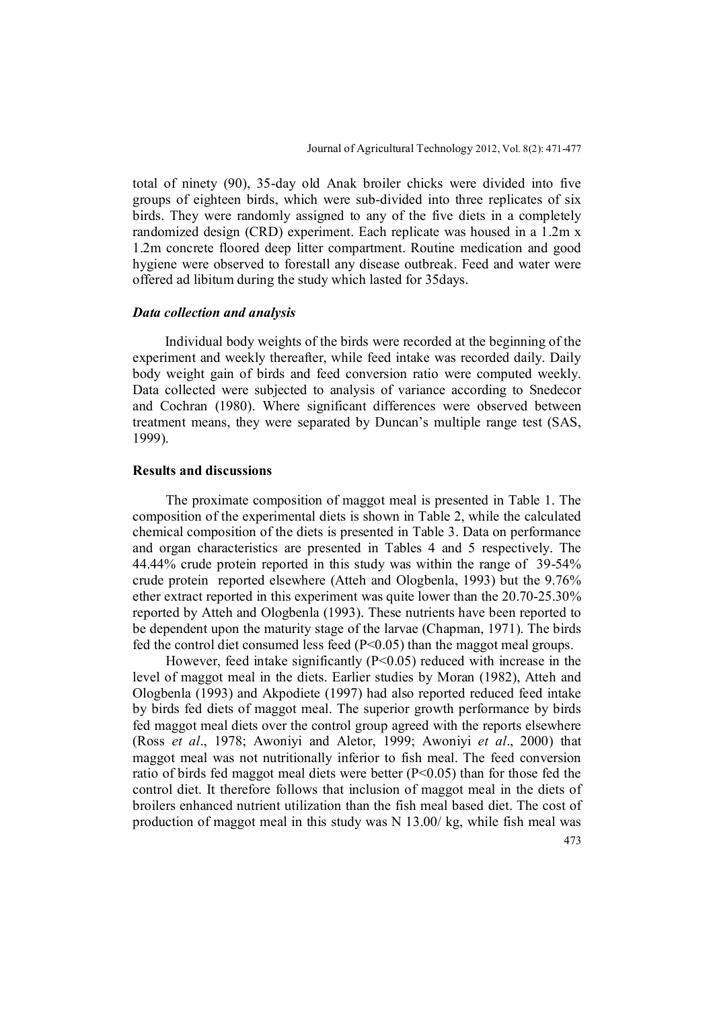total of ninety (90), 35-day old Anak broiler chicks were divided into five groups of eighteen birds, which were sub-divided into three replicates of six birds. They were randomly assigned to any of the five diets in a completely randomized design (CRD) experiment. Each replicate was housed in a 1.2m x 1.2m concrete floored deep litter compartment. Routine medication and good hygiene were observed to forestall any disease outbreak. Feed and water were offered ad libitum during the study which lasted for 35days.

### *Data collection and analysis*

Individual body weights of the birds were recorded at the beginning of the experiment and weekly thereafter, while feed intake was recorded daily. Daily body weight gain of birds and feed conversion ratio were computed weekly. Data collected were subjected to analysis of variance according to Snedecor and Cochran (1980). Where significant differences were observed between treatment means, they were separated by Duncan's multiple range test (SAS, 1999).

#### **Results and discussions**

The proximate composition of maggot meal is presented in Table 1. The composition of the experimental diets is shown in Table 2, while the calculated chemical composition of the diets is presented in Table 3. Data on performance and organ characteristics are presented in Tables 4 and 5 respectively. The 44.44% crude protein reported in this study was within the range of 39-54% crude protein reported elsewhere (Atteh and Ologbenla, 1993) but the 9.76% ether extract reported in this experiment was quite lower than the 20.70-25.30% reported by Atteh and Ologbenla (1993). These nutrients have been reported to be dependent upon the maturity stage of the larvae (Chapman, 1971). The birds fed the control diet consumed less feed (P<0.05) than the maggot meal groups.

However, feed intake significantly  $(P<0.05)$  reduced with increase in the level of maggot meal in the diets. Earlier studies by Moran (1982), Atteh and Ologbenla (1993) and Akpodiete (1997) had also reported reduced feed intake by birds fed diets of maggot meal. The superior growth performance by birds fed maggot meal diets over the control group agreed with the reports elsewhere (Ross *et al*., 1978; Awoniyi and Aletor, 1999; Awoniyi *et al*., 2000) that maggot meal was not nutritionally inferior to fish meal. The feed conversion ratio of birds fed maggot meal diets were better (P<0.05) than for those fed the control diet. It therefore follows that inclusion of maggot meal in the diets of broilers enhanced nutrient utilization than the fish meal based diet. The cost of production of maggot meal in this study was N 13.00/ kg, while fish meal was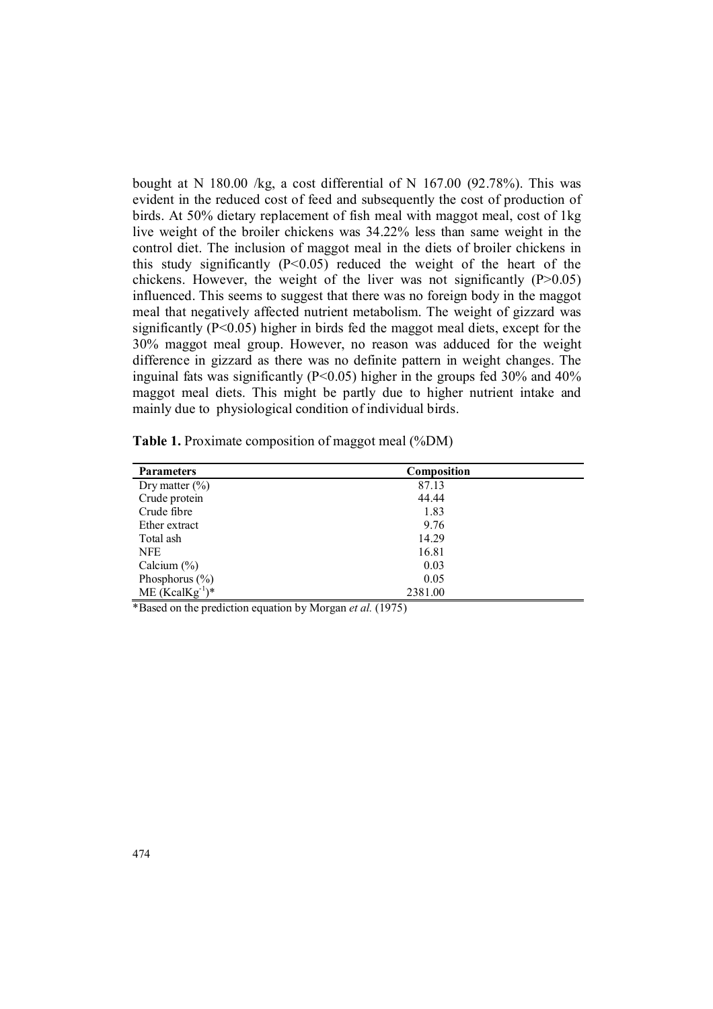bought at N 180.00 /kg, a cost differential of N 167.00 (92.78%). This was evident in the reduced cost of feed and subsequently the cost of production of birds. At 50% dietary replacement of fish meal with maggot meal, cost of 1kg live weight of the broiler chickens was 34.22% less than same weight in the control diet. The inclusion of maggot meal in the diets of broiler chickens in this study significantly  $(P<0.05)$  reduced the weight of the heart of the chickens. However, the weight of the liver was not significantly  $(P>0.05)$ influenced. This seems to suggest that there was no foreign body in the maggot meal that negatively affected nutrient metabolism. The weight of gizzard was significantly (P<0.05) higher in birds fed the maggot meal diets, except for the 30% maggot meal group. However, no reason was adduced for the weight difference in gizzard as there was no definite pattern in weight changes. The inguinal fats was significantly ( $P \le 0.05$ ) higher in the groups fed 30% and 40% maggot meal diets. This might be partly due to higher nutrient intake and mainly due to physiological condition of individual birds.

| Table 1. Proximate composition of maggot meal (%DM) |  |  |  |
|-----------------------------------------------------|--|--|--|
|-----------------------------------------------------|--|--|--|

| <b>Parameters</b>    | Composition |
|----------------------|-------------|
| Dry matter $(\% )$   | 87.13       |
| Crude protein        | 44.44       |
| Crude fibre          | 1.83        |
| Ether extract        | 9.76        |
| Total ash            | 14.29       |
| <b>NFE</b>           | 16.81       |
| Calcium $(\%)$       | 0.03        |
| Phosphorus $(\% )$   | 0.05        |
| $ME (KcalKg^{-1})^*$ | 2381.00     |

\*Based on the prediction equation by Morgan *et al.* (1975)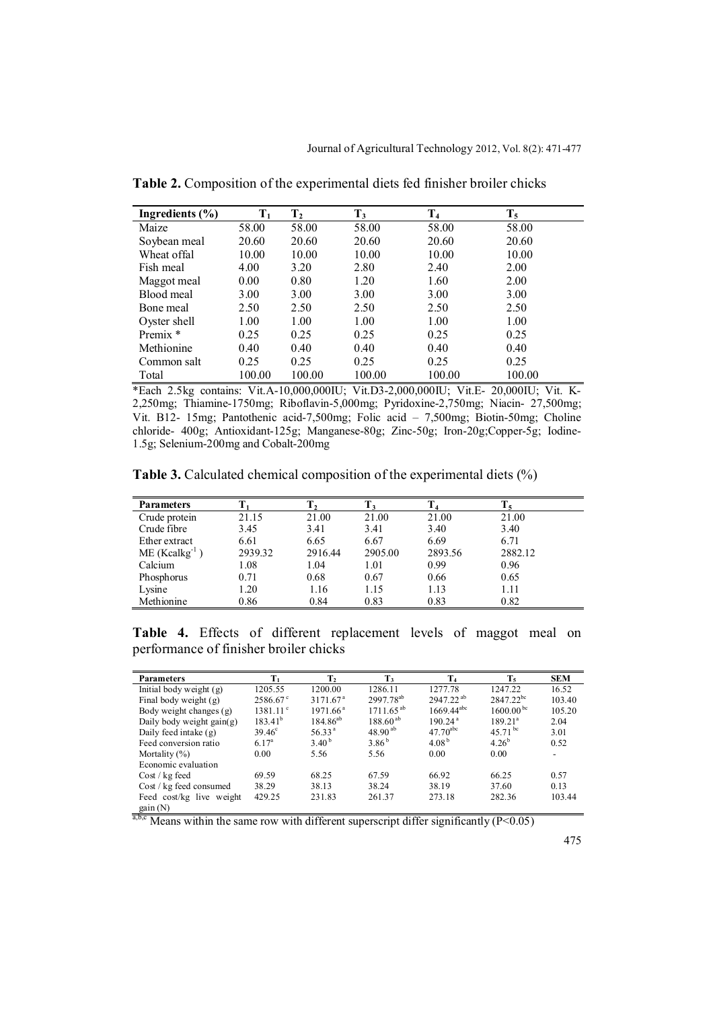| Ingredients $(\% )$ | $T_1$  | $\bf{T}_2$ | $T_3$  | T <sub>4</sub> | $\mathbf{T}_5$ |
|---------------------|--------|------------|--------|----------------|----------------|
| Maize               | 58.00  | 58.00      | 58.00  | 58.00          | 58.00          |
| Soybean meal        | 20.60  | 20.60      | 20.60  | 20.60          | 20.60          |
| Wheat offal         | 10.00  | 10.00      | 10.00  | 10.00          | 10.00          |
| Fish meal           | 4.00   | 3.20       | 2.80   | 2.40           | 2.00           |
| Maggot meal         | 0.00   | 0.80       | 1.20   | 1.60           | 2.00           |
| Blood meal          | 3.00   | 3.00       | 3.00   | 3.00           | 3.00           |
| Bone meal           | 2.50   | 2.50       | 2.50   | 2.50           | 2.50           |
| Oyster shell        | 1.00   | 1.00       | 1.00   | 1.00           | 1.00           |
| Premix *            | 0.25   | 0.25       | 0.25   | 0.25           | 0.25           |
| Methionine          | 0.40   | 0.40       | 0.40   | 0.40           | 0.40           |
| Common salt         | 0.25   | 0.25       | 0.25   | 0.25           | 0.25           |
| Total               | 100.00 | 100.00     | 100.00 | 100.00         | 100.00         |

**Table 2.** Composition of the experimental diets fed finisher broiler chicks

\*Each 2.5kg contains: Vit.A-10,000,000IU; Vit.D3-2,000,000IU; Vit.E- 20,000IU; Vit. K-2,250mg; Thiamine-1750mg; Riboflavin-5,000mg; Pyridoxine-2,750mg; Niacin- 27,500mg; Vit. B12- 15mg; Pantothenic acid-7,500mg; Folic acid – 7,500mg; Biotin-50mg; Choline chloride- 400g; Antioxidant-125g; Manganese-80g; Zinc-50g; Iron-20g;Copper-5g; Iodine-1.5g; Selenium-200mg and Cobalt-200mg

**Table 3.** Calculated chemical composition of the experimental diets (%)

| <b>Parameters</b>  |         |         |         | $\mathbf{T}_4$ |         |  |
|--------------------|---------|---------|---------|----------------|---------|--|
| Crude protein      | 21.15   | 21.00   | 21.00   | 21.00          | 21.00   |  |
| Crude fibre        | 3.45    | 3.41    | 3.41    | 3.40           | 3.40    |  |
| Ether extract      | 6.61    | 6.65    | 6.67    | 6.69           | 6.71    |  |
| $ME (Kcalkg^{-1})$ | 2939.32 | 2916.44 | 2905.00 | 2893.56        | 2882.12 |  |
| Calcium            | 1.08    | 1.04    | 1.01    | 0.99           | 0.96    |  |
| Phosphorus         | 0.71    | 0.68    | 0.67    | 0.66           | 0.65    |  |
| Lysine             | 1.20    | 1.16    | 1.15    | 1.13           | 1.11    |  |
| Methionine         | 0.86    | 0.84    | 0.83    | 0.83           | 0.82    |  |

**Table 4.** Effects of different replacement levels of maggot meal on performance of finisher broiler chicks

| <b>Parameters</b>           | $T_1$             | $\mathbf{T}_2$       | $T_3$                 | T <sub>4</sub>      | $T_5$               | <b>SEM</b> |
|-----------------------------|-------------------|----------------------|-----------------------|---------------------|---------------------|------------|
| Initial body weight $(g)$   | 1205.55           | 1200.00              | 1286.11               | 1277.78             | 1247.22             | 16.52      |
| Final body weight (g)       | $2586.67$ °       | 3171.67 <sup>a</sup> | 2997.78 <sup>ab</sup> | $2947.22^{ab}$      | $2847.22^{bc}$      | 103.40     |
| Body weight changes (g)     | $1381.11^{\circ}$ | 1971.66 <sup>a</sup> | $1711.65^{ab}$        | $1669.44^{abc}$     | $1600.00^{bc}$      | 105.20     |
| Daily body weight $gain(g)$ | $183.41^{b}$      | $184.86^{ab}$        | $188.60^{ab}$         | 190.24 <sup>a</sup> | 189.21 <sup>a</sup> | 2.04       |
| Daily feed intake (g)       | $39.46^{\circ}$   | 56.33 <sup>a</sup>   | $48.90^{ab}$          | $47.70^{abc}$       | 45.71 bc            | 3.01       |
| Feed conversion ratio       | $6.17^{\rm a}$    | $3.40^{b}$           | $3.86^{b}$            | 4.08 <sup>b</sup>   | $4.26^{b}$          | 0.52       |
| Mortality $(\%)$            | 0.00              | 5.56                 | 5.56                  | 0.00                | 0.00                | ۰          |
| Economic evaluation         |                   |                      |                       |                     |                     |            |
| $Cost / kg$ feed            | 69.59             | 68.25                | 67.59                 | 66.92               | 66.25               | 0.57       |
| Cost / kg feed consumed     | 38.29             | 38.13                | 38.24                 | 38.19               | 37.60               | 0.13       |
| Feed cost/kg live weight    | 429.25            | 231.83               | 261.37                | 273.18              | 282.36              | 103.44     |
| gain(N)                     |                   |                      |                       |                     |                     |            |

 $a,b,c$  Means within the same row with different superscript differ significantly (P<0.05)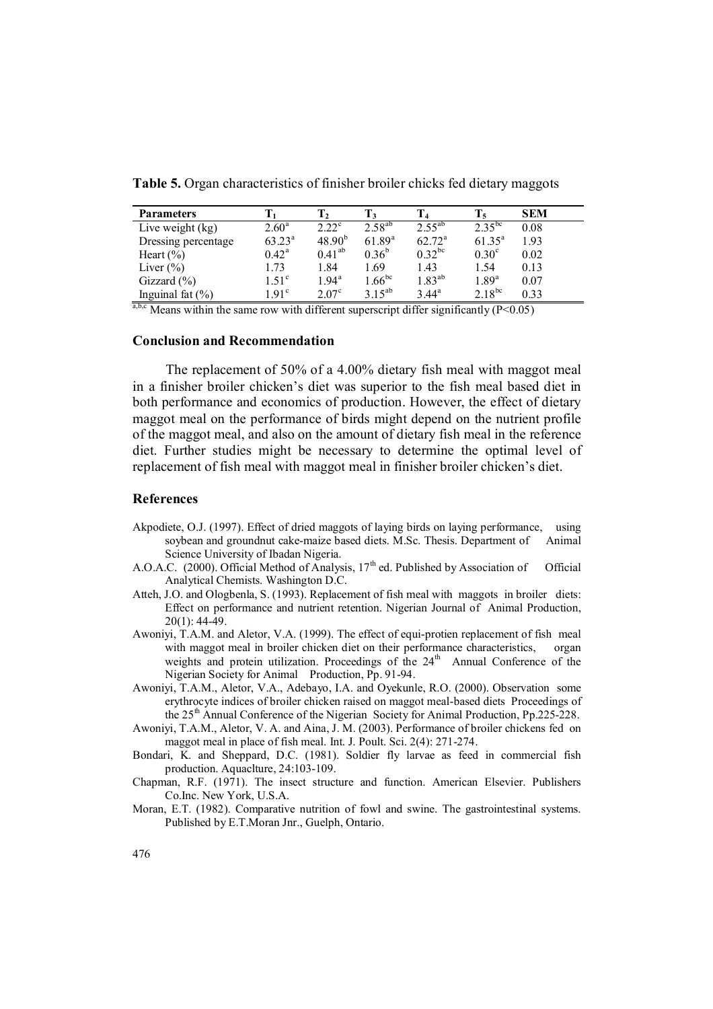| <b>Parameters</b>   |                | Ι2                |                    |                    | $T_5$             | <b>SEM</b> |
|---------------------|----------------|-------------------|--------------------|--------------------|-------------------|------------|
| Live weight (kg)    | $2.60^{\rm a}$ | $2.22^{\circ}$    | $2.58^{ab}$        | $2.55^{ab}$        | $2.35^{bc}$       | 0.08       |
| Dressing percentage | $63.23^a$      | $48.90^{b}$       | $61.89^{a}$        | $62.72^{\text{a}}$ | $61.35^{a}$       | 1.93       |
| Heart $(\% )$       | $0.42^{\rm a}$ | $0.41^{ab}$       | $0.36^{b}$         | $0.32^{bc}$        | 0.30 <sup>c</sup> | 0.02       |
| Liver $(\% )$       | l.73           | 1.84              | 1.69               | 1.43               | 1.54              | 0.13       |
| Gizzard $(\% )$     | $1.51^\circ$   | $1.94^{\text{a}}$ | $1.66^{bc}$        | $1.83^{ab}$        | $1.89^{\text{a}}$ | 0.07       |
| Inguinal fat $(\%)$ | $191^{\circ}$  | $2.07^{\circ}$    | 3.15 <sup>ab</sup> | $3.44^{\rm a}$     | $2.18^{bc}$       | 0.33       |

**Table 5.** Organ characteristics of finisher broiler chicks fed dietary maggots

 $a,b,c$  Means within the same row with different superscript differ significantly (P<0.05)

## **Conclusion and Recommendation**

The replacement of 50% of a 4.00% dietary fish meal with maggot meal in a finisher broiler chicken's diet was superior to the fish meal based diet in both performance and economics of production. However, the effect of dietary maggot meal on the performance of birds might depend on the nutrient profile of the maggot meal, and also on the amount of dietary fish meal in the reference diet. Further studies might be necessary to determine the optimal level of replacement of fish meal with maggot meal in finisher broiler chicken's diet.

## **References**

- Akpodiete, O.J. (1997). Effect of dried maggots of laying birds on laying performance, using soybean and groundnut cake-maize based diets. M.Sc. Thesis. Department of Animal Science University of Ibadan Nigeria.
- A.O.A.C. (2000). Official Method of Analysis, 17<sup>th</sup> ed. Published by Association of Official Analytical Chemists. Washington D.C.
- Atteh, J.O. and Ologbenla, S. (1993). Replacement of fish meal with maggots in broiler diets: Effect on performance and nutrient retention. Nigerian Journal of Animal Production, 20(1): 44-49.
- Awoniyi, T.A.M. and Aletor, V.A. (1999). The effect of equi-protien replacement of fish meal with maggot meal in broiler chicken diet on their performance characteristics, organ weights and protein utilization. Proceedings of the 24<sup>th</sup> Annual Conference of the Nigerian Society for Animal Production, Pp. 91-94.
- Awoniyi, T.A.M., Aletor, V.A., Adebayo, I.A. and Oyekunle, R.O. (2000). Observation some erythrocyte indices of broiler chicken raised on maggot meal-based diets Proceedings of the  $25<sup>th</sup>$  Annual Conference of the Nigerian Society for Animal Production, Pp.225-228.
- Awoniyi, T.A.M., Aletor, V. A. and Aina, J. M. (2003). Performance of broiler chickens fed on maggot meal in place of fish meal. Int. J. Poult. Sci. 2(4): 271-274.
- Bondari, K. and Sheppard, D.C. (1981). Soldier fly larvae as feed in commercial fish production. Aquaclture, 24:103-109.
- Chapman, R.F. (1971). The insect structure and function. American Elsevier. Publishers Co.Inc. New York, U.S.A.
- Moran, E.T. (1982). Comparative nutrition of fowl and swine. The gastrointestinal systems. Published by E.T.Moran Jnr., Guelph, Ontario.